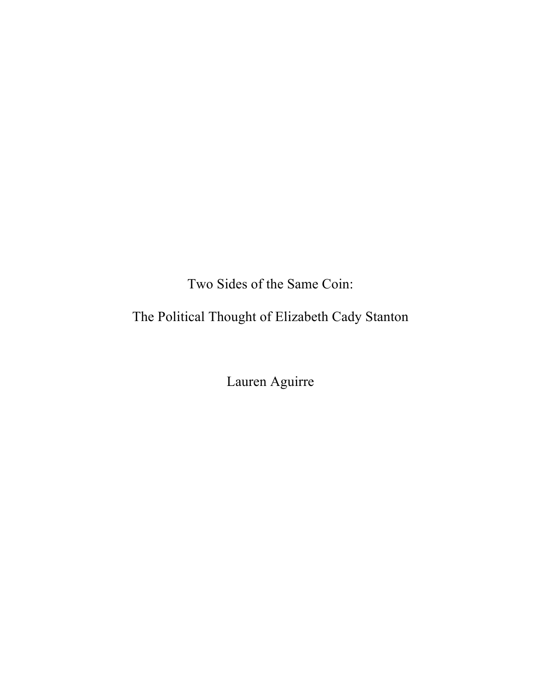Two Sides of the Same Coin:

The Political Thought of Elizabeth Cady Stanton

Lauren Aguirre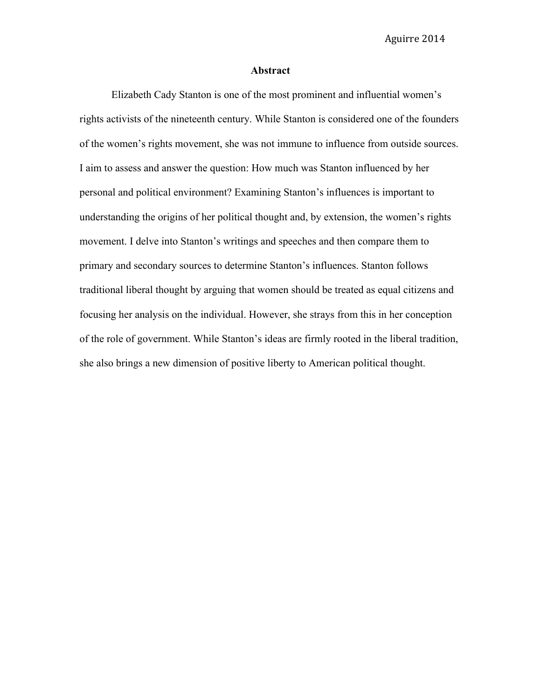#### **Abstract**

Elizabeth Cady Stanton is one of the most prominent and influential women's rights activists of the nineteenth century. While Stanton is considered one of the founders of the women's rights movement, she was not immune to influence from outside sources. I aim to assess and answer the question: How much was Stanton influenced by her personal and political environment? Examining Stanton's influences is important to understanding the origins of her political thought and, by extension, the women's rights movement. I delve into Stanton's writings and speeches and then compare them to primary and secondary sources to determine Stanton's influences. Stanton follows traditional liberal thought by arguing that women should be treated as equal citizens and focusing her analysis on the individual. However, she strays from this in her conception of the role of government. While Stanton's ideas are firmly rooted in the liberal tradition, she also brings a new dimension of positive liberty to American political thought.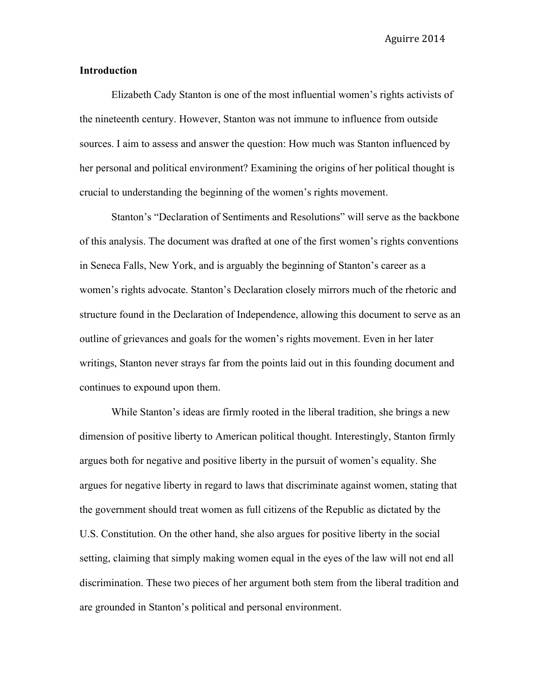#### **Introduction**

Elizabeth Cady Stanton is one of the most influential women's rights activists of the nineteenth century. However, Stanton was not immune to influence from outside sources. I aim to assess and answer the question: How much was Stanton influenced by her personal and political environment? Examining the origins of her political thought is crucial to understanding the beginning of the women's rights movement.

Stanton's "Declaration of Sentiments and Resolutions" will serve as the backbone of this analysis. The document was drafted at one of the first women's rights conventions in Seneca Falls, New York, and is arguably the beginning of Stanton's career as a women's rights advocate. Stanton's Declaration closely mirrors much of the rhetoric and structure found in the Declaration of Independence, allowing this document to serve as an outline of grievances and goals for the women's rights movement. Even in her later writings, Stanton never strays far from the points laid out in this founding document and continues to expound upon them.

While Stanton's ideas are firmly rooted in the liberal tradition, she brings a new dimension of positive liberty to American political thought. Interestingly, Stanton firmly argues both for negative and positive liberty in the pursuit of women's equality. She argues for negative liberty in regard to laws that discriminate against women, stating that the government should treat women as full citizens of the Republic as dictated by the U.S. Constitution. On the other hand, she also argues for positive liberty in the social setting, claiming that simply making women equal in the eyes of the law will not end all discrimination. These two pieces of her argument both stem from the liberal tradition and are grounded in Stanton's political and personal environment.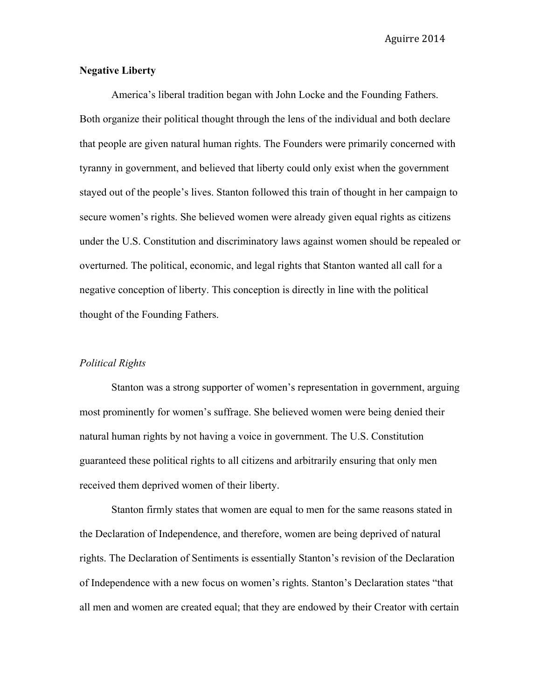# **Negative Liberty**

America's liberal tradition began with John Locke and the Founding Fathers. Both organize their political thought through the lens of the individual and both declare that people are given natural human rights. The Founders were primarily concerned with tyranny in government, and believed that liberty could only exist when the government stayed out of the people's lives. Stanton followed this train of thought in her campaign to secure women's rights. She believed women were already given equal rights as citizens under the U.S. Constitution and discriminatory laws against women should be repealed or overturned. The political, economic, and legal rights that Stanton wanted all call for a negative conception of liberty. This conception is directly in line with the political thought of the Founding Fathers.

#### *Political Rights*

Stanton was a strong supporter of women's representation in government, arguing most prominently for women's suffrage. She believed women were being denied their natural human rights by not having a voice in government. The U.S. Constitution guaranteed these political rights to all citizens and arbitrarily ensuring that only men received them deprived women of their liberty.

Stanton firmly states that women are equal to men for the same reasons stated in the Declaration of Independence, and therefore, women are being deprived of natural rights. The Declaration of Sentiments is essentially Stanton's revision of the Declaration of Independence with a new focus on women's rights. Stanton's Declaration states "that all men and women are created equal; that they are endowed by their Creator with certain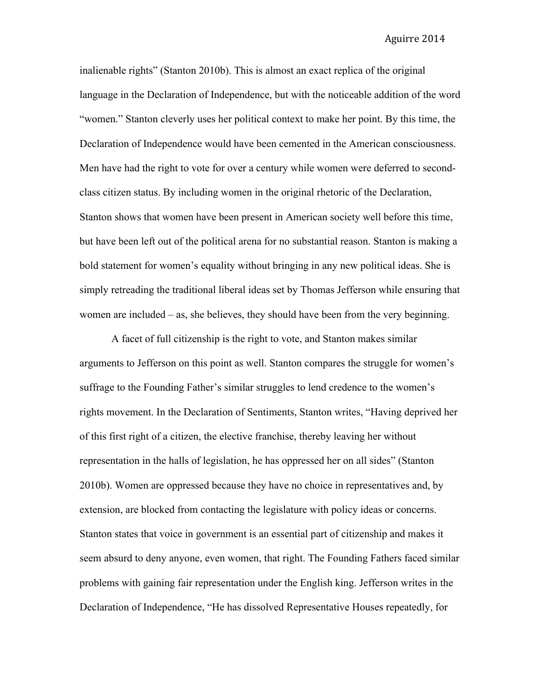inalienable rights" (Stanton 2010b). This is almost an exact replica of the original language in the Declaration of Independence, but with the noticeable addition of the word "women." Stanton cleverly uses her political context to make her point. By this time, the Declaration of Independence would have been cemented in the American consciousness. Men have had the right to vote for over a century while women were deferred to secondclass citizen status. By including women in the original rhetoric of the Declaration, Stanton shows that women have been present in American society well before this time, but have been left out of the political arena for no substantial reason. Stanton is making a bold statement for women's equality without bringing in any new political ideas. She is simply retreading the traditional liberal ideas set by Thomas Jefferson while ensuring that women are included – as, she believes, they should have been from the very beginning.

A facet of full citizenship is the right to vote, and Stanton makes similar arguments to Jefferson on this point as well. Stanton compares the struggle for women's suffrage to the Founding Father's similar struggles to lend credence to the women's rights movement. In the Declaration of Sentiments, Stanton writes, "Having deprived her of this first right of a citizen, the elective franchise, thereby leaving her without representation in the halls of legislation, he has oppressed her on all sides" (Stanton 2010b). Women are oppressed because they have no choice in representatives and, by extension, are blocked from contacting the legislature with policy ideas or concerns. Stanton states that voice in government is an essential part of citizenship and makes it seem absurd to deny anyone, even women, that right. The Founding Fathers faced similar problems with gaining fair representation under the English king. Jefferson writes in the Declaration of Independence, "He has dissolved Representative Houses repeatedly, for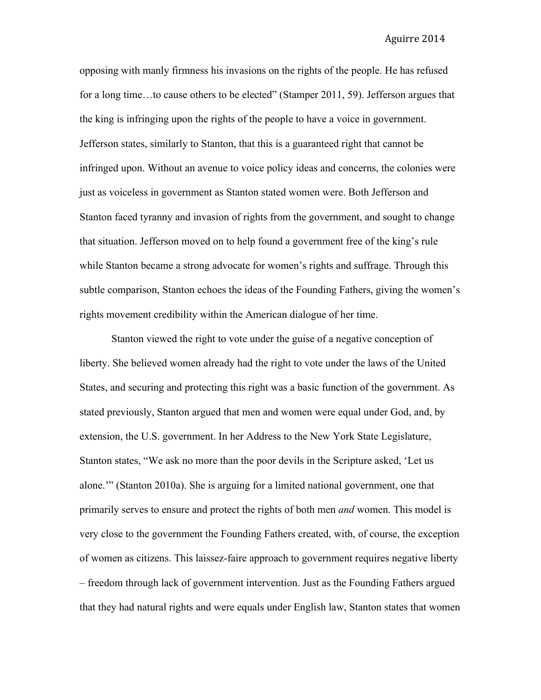opposing with manly firmness his invasions on the rights of the people. He has refused for a long time…to cause others to be elected" (Stamper 2011, 59). Jefferson argues that the king is infringing upon the rights of the people to have a voice in government. Jefferson states, similarly to Stanton, that this is a guaranteed right that cannot be infringed upon. Without an avenue to voice policy ideas and concerns, the colonies were just as voiceless in government as Stanton stated women were. Both Jefferson and Stanton faced tyranny and invasion of rights from the government, and sought to change that situation. Jefferson moved on to help found a government free of the king's rule while Stanton became a strong advocate for women's rights and suffrage. Through this subtle comparison, Stanton echoes the ideas of the Founding Fathers, giving the women's rights movement credibility within the American dialogue of her time.

Stanton viewed the right to vote under the guise of a negative conception of liberty. She believed women already had the right to vote under the laws of the United States, and securing and protecting this right was a basic function of the government. As stated previously, Stanton argued that men and women were equal under God, and, by extension, the U.S. government. In her Address to the New York State Legislature, Stanton states, "We ask no more than the poor devils in the Scripture asked, 'Let us alone.'" (Stanton 2010a). She is arguing for a limited national government, one that primarily serves to ensure and protect the rights of both men *and* women. This model is very close to the government the Founding Fathers created, with, of course, the exception of women as citizens. This laissez-faire approach to government requires negative liberty – freedom through lack of government intervention. Just as the Founding Fathers argued that they had natural rights and were equals under English law, Stanton states that women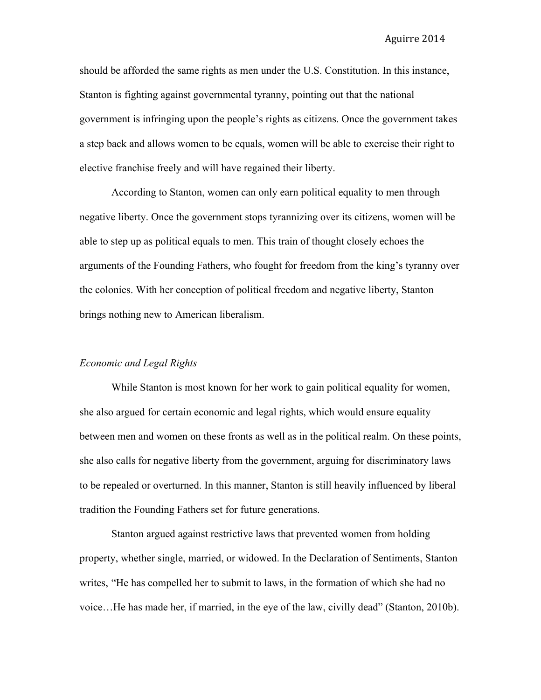should be afforded the same rights as men under the U.S. Constitution. In this instance, Stanton is fighting against governmental tyranny, pointing out that the national government is infringing upon the people's rights as citizens. Once the government takes a step back and allows women to be equals, women will be able to exercise their right to elective franchise freely and will have regained their liberty.

According to Stanton, women can only earn political equality to men through negative liberty. Once the government stops tyrannizing over its citizens, women will be able to step up as political equals to men. This train of thought closely echoes the arguments of the Founding Fathers, who fought for freedom from the king's tyranny over the colonies. With her conception of political freedom and negative liberty, Stanton brings nothing new to American liberalism.

#### *Economic and Legal Rights*

While Stanton is most known for her work to gain political equality for women, she also argued for certain economic and legal rights, which would ensure equality between men and women on these fronts as well as in the political realm. On these points, she also calls for negative liberty from the government, arguing for discriminatory laws to be repealed or overturned. In this manner, Stanton is still heavily influenced by liberal tradition the Founding Fathers set for future generations.

Stanton argued against restrictive laws that prevented women from holding property, whether single, married, or widowed. In the Declaration of Sentiments, Stanton writes, "He has compelled her to submit to laws, in the formation of which she had no voice…He has made her, if married, in the eye of the law, civilly dead" (Stanton, 2010b).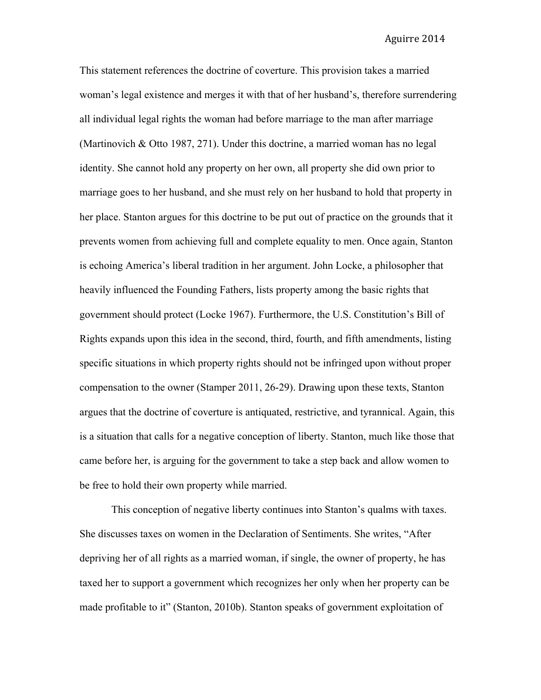This statement references the doctrine of coverture. This provision takes a married woman's legal existence and merges it with that of her husband's, therefore surrendering all individual legal rights the woman had before marriage to the man after marriage (Martinovich & Otto 1987, 271). Under this doctrine, a married woman has no legal identity. She cannot hold any property on her own, all property she did own prior to marriage goes to her husband, and she must rely on her husband to hold that property in her place. Stanton argues for this doctrine to be put out of practice on the grounds that it prevents women from achieving full and complete equality to men. Once again, Stanton is echoing America's liberal tradition in her argument. John Locke, a philosopher that heavily influenced the Founding Fathers, lists property among the basic rights that government should protect (Locke 1967). Furthermore, the U.S. Constitution's Bill of Rights expands upon this idea in the second, third, fourth, and fifth amendments, listing specific situations in which property rights should not be infringed upon without proper compensation to the owner (Stamper 2011, 26-29). Drawing upon these texts, Stanton argues that the doctrine of coverture is antiquated, restrictive, and tyrannical. Again, this is a situation that calls for a negative conception of liberty. Stanton, much like those that came before her, is arguing for the government to take a step back and allow women to be free to hold their own property while married.

This conception of negative liberty continues into Stanton's qualms with taxes. She discusses taxes on women in the Declaration of Sentiments. She writes, "After depriving her of all rights as a married woman, if single, the owner of property, he has taxed her to support a government which recognizes her only when her property can be made profitable to it" (Stanton, 2010b). Stanton speaks of government exploitation of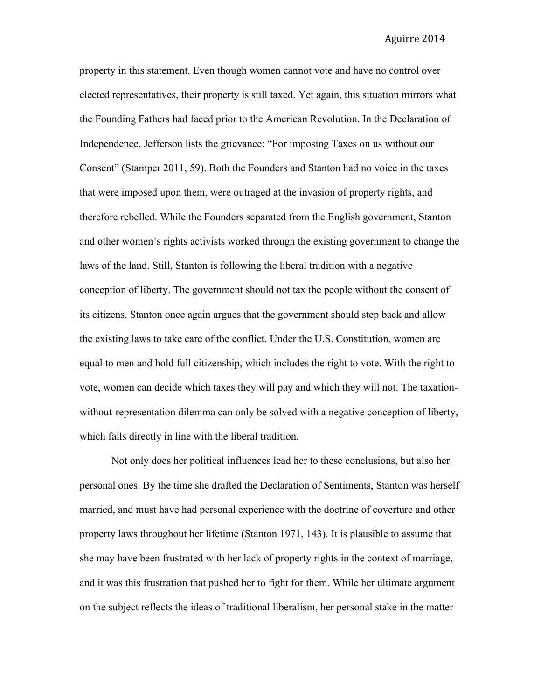property in this statement. Even though women cannot vote and have no control over elected representatives, their property is still taxed. Yet again, this situation mirrors what the Founding Fathers had faced prior to the American Revolution. In the Declaration of Independence, Jefferson lists the grievance: "For imposing Taxes on us without our Consent" (Stamper 2011, 59). Both the Founders and Stanton had no voice in the taxes that were imposed upon them, were outraged at the invasion of property rights, and therefore rebelled. While the Founders separated from the English government, Stanton and other women's rights activists worked through the existing government to change the laws of the land. Still, Stanton is following the liberal tradition with a negative conception of liberty. The government should not tax the people without the consent of its citizens. Stanton once again argues that the government should step back and allow the existing laws to take care of the conflict. Under the U.S. Constitution, women are equal to men and hold full citizenship, which includes the right to vote. With the right to vote, women can decide which taxes they will pay and which they will not. The taxationwithout-representation dilemma can only be solved with a negative conception of liberty, which falls directly in line with the liberal tradition.

Not only does her political influences lead her to these conclusions, but also her personal ones. By the time she drafted the Declaration of Sentiments, Stanton was herself married, and must have had personal experience with the doctrine of coverture and other property laws throughout her lifetime (Stanton 1971, 143). It is plausible to assume that she may have been frustrated with her lack of property rights in the context of marriage, and it was this frustration that pushed her to fight for them. While her ultimate argument on the subject reflects the ideas of traditional liberalism, her personal stake in the matter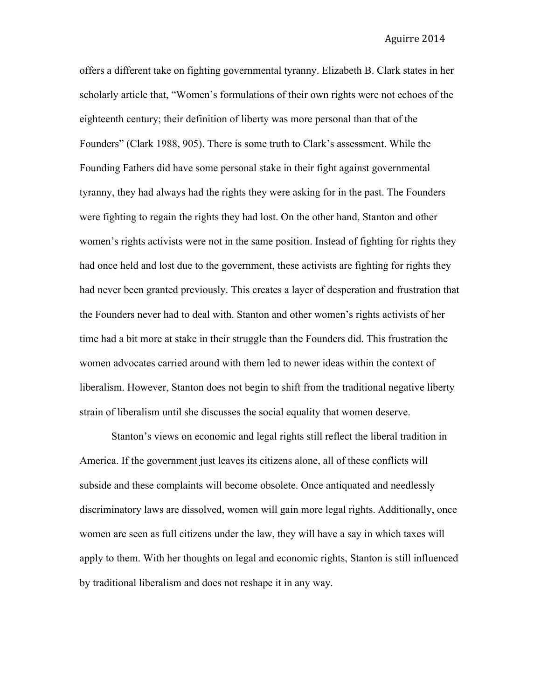offers a different take on fighting governmental tyranny. Elizabeth B. Clark states in her scholarly article that, "Women's formulations of their own rights were not echoes of the eighteenth century; their definition of liberty was more personal than that of the Founders" (Clark 1988, 905). There is some truth to Clark's assessment. While the Founding Fathers did have some personal stake in their fight against governmental tyranny, they had always had the rights they were asking for in the past. The Founders were fighting to regain the rights they had lost. On the other hand, Stanton and other women's rights activists were not in the same position. Instead of fighting for rights they had once held and lost due to the government, these activists are fighting for rights they had never been granted previously. This creates a layer of desperation and frustration that the Founders never had to deal with. Stanton and other women's rights activists of her time had a bit more at stake in their struggle than the Founders did. This frustration the women advocates carried around with them led to newer ideas within the context of liberalism. However, Stanton does not begin to shift from the traditional negative liberty strain of liberalism until she discusses the social equality that women deserve.

Stanton's views on economic and legal rights still reflect the liberal tradition in America. If the government just leaves its citizens alone, all of these conflicts will subside and these complaints will become obsolete. Once antiquated and needlessly discriminatory laws are dissolved, women will gain more legal rights. Additionally, once women are seen as full citizens under the law, they will have a say in which taxes will apply to them. With her thoughts on legal and economic rights, Stanton is still influenced by traditional liberalism and does not reshape it in any way.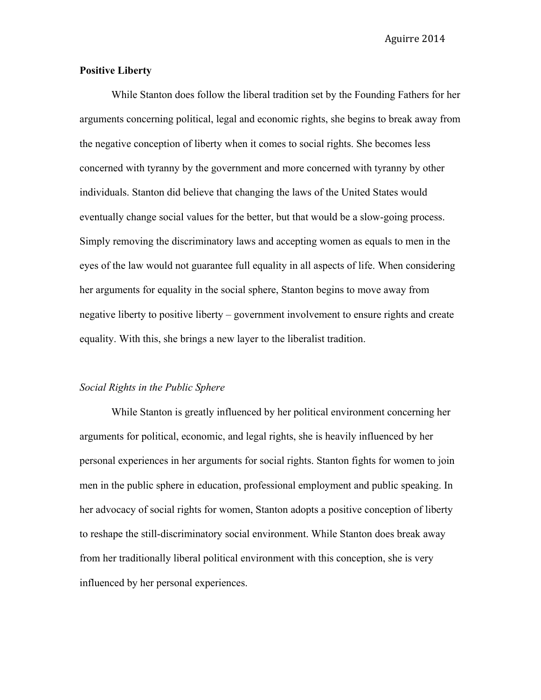## **Positive Liberty**

While Stanton does follow the liberal tradition set by the Founding Fathers for her arguments concerning political, legal and economic rights, she begins to break away from the negative conception of liberty when it comes to social rights. She becomes less concerned with tyranny by the government and more concerned with tyranny by other individuals. Stanton did believe that changing the laws of the United States would eventually change social values for the better, but that would be a slow-going process. Simply removing the discriminatory laws and accepting women as equals to men in the eyes of the law would not guarantee full equality in all aspects of life. When considering her arguments for equality in the social sphere, Stanton begins to move away from negative liberty to positive liberty – government involvement to ensure rights and create equality. With this, she brings a new layer to the liberalist tradition.

### *Social Rights in the Public Sphere*

While Stanton is greatly influenced by her political environment concerning her arguments for political, economic, and legal rights, she is heavily influenced by her personal experiences in her arguments for social rights. Stanton fights for women to join men in the public sphere in education, professional employment and public speaking. In her advocacy of social rights for women, Stanton adopts a positive conception of liberty to reshape the still-discriminatory social environment. While Stanton does break away from her traditionally liberal political environment with this conception, she is very influenced by her personal experiences.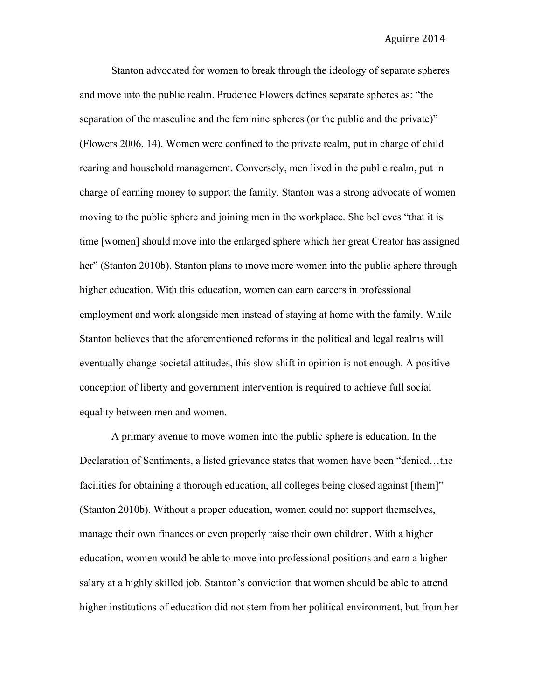Stanton advocated for women to break through the ideology of separate spheres and move into the public realm. Prudence Flowers defines separate spheres as: "the separation of the masculine and the feminine spheres (or the public and the private)" (Flowers 2006, 14). Women were confined to the private realm, put in charge of child rearing and household management. Conversely, men lived in the public realm, put in charge of earning money to support the family. Stanton was a strong advocate of women moving to the public sphere and joining men in the workplace. She believes "that it is time [women] should move into the enlarged sphere which her great Creator has assigned her" (Stanton 2010b). Stanton plans to move more women into the public sphere through higher education. With this education, women can earn careers in professional employment and work alongside men instead of staying at home with the family. While Stanton believes that the aforementioned reforms in the political and legal realms will eventually change societal attitudes, this slow shift in opinion is not enough. A positive conception of liberty and government intervention is required to achieve full social equality between men and women.

A primary avenue to move women into the public sphere is education. In the Declaration of Sentiments, a listed grievance states that women have been "denied…the facilities for obtaining a thorough education, all colleges being closed against [them]" (Stanton 2010b). Without a proper education, women could not support themselves, manage their own finances or even properly raise their own children. With a higher education, women would be able to move into professional positions and earn a higher salary at a highly skilled job. Stanton's conviction that women should be able to attend higher institutions of education did not stem from her political environment, but from her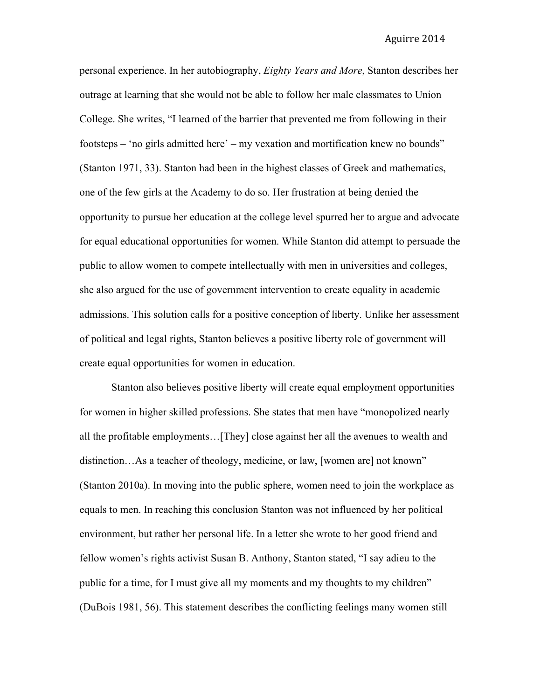personal experience. In her autobiography, *Eighty Years and More*, Stanton describes her outrage at learning that she would not be able to follow her male classmates to Union College. She writes, "I learned of the barrier that prevented me from following in their footsteps – 'no girls admitted here' – my vexation and mortification knew no bounds" (Stanton 1971, 33). Stanton had been in the highest classes of Greek and mathematics, one of the few girls at the Academy to do so. Her frustration at being denied the opportunity to pursue her education at the college level spurred her to argue and advocate for equal educational opportunities for women. While Stanton did attempt to persuade the public to allow women to compete intellectually with men in universities and colleges, she also argued for the use of government intervention to create equality in academic admissions. This solution calls for a positive conception of liberty. Unlike her assessment of political and legal rights, Stanton believes a positive liberty role of government will create equal opportunities for women in education.

Stanton also believes positive liberty will create equal employment opportunities for women in higher skilled professions. She states that men have "monopolized nearly all the profitable employments…[They] close against her all the avenues to wealth and distinction…As a teacher of theology, medicine, or law, [women are] not known" (Stanton 2010a). In moving into the public sphere, women need to join the workplace as equals to men. In reaching this conclusion Stanton was not influenced by her political environment, but rather her personal life. In a letter she wrote to her good friend and fellow women's rights activist Susan B. Anthony, Stanton stated, "I say adieu to the public for a time, for I must give all my moments and my thoughts to my children" (DuBois 1981, 56). This statement describes the conflicting feelings many women still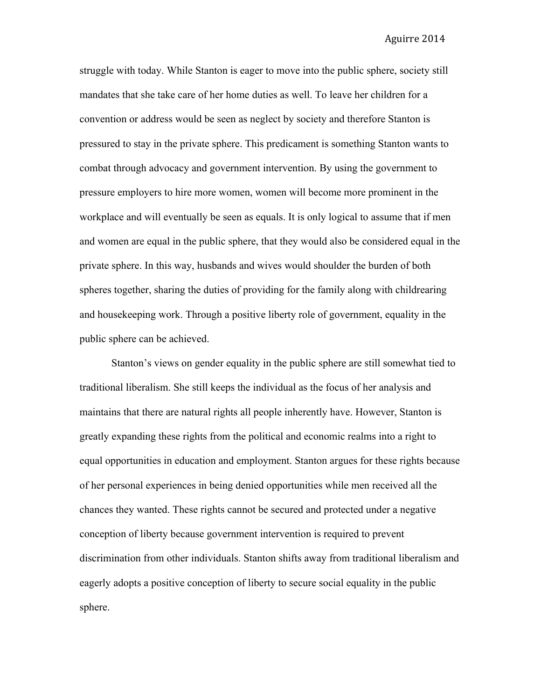struggle with today. While Stanton is eager to move into the public sphere, society still mandates that she take care of her home duties as well. To leave her children for a convention or address would be seen as neglect by society and therefore Stanton is pressured to stay in the private sphere. This predicament is something Stanton wants to combat through advocacy and government intervention. By using the government to pressure employers to hire more women, women will become more prominent in the workplace and will eventually be seen as equals. It is only logical to assume that if men and women are equal in the public sphere, that they would also be considered equal in the private sphere. In this way, husbands and wives would shoulder the burden of both spheres together, sharing the duties of providing for the family along with childrearing and housekeeping work. Through a positive liberty role of government, equality in the public sphere can be achieved.

Stanton's views on gender equality in the public sphere are still somewhat tied to traditional liberalism. She still keeps the individual as the focus of her analysis and maintains that there are natural rights all people inherently have. However, Stanton is greatly expanding these rights from the political and economic realms into a right to equal opportunities in education and employment. Stanton argues for these rights because of her personal experiences in being denied opportunities while men received all the chances they wanted. These rights cannot be secured and protected under a negative conception of liberty because government intervention is required to prevent discrimination from other individuals. Stanton shifts away from traditional liberalism and eagerly adopts a positive conception of liberty to secure social equality in the public sphere.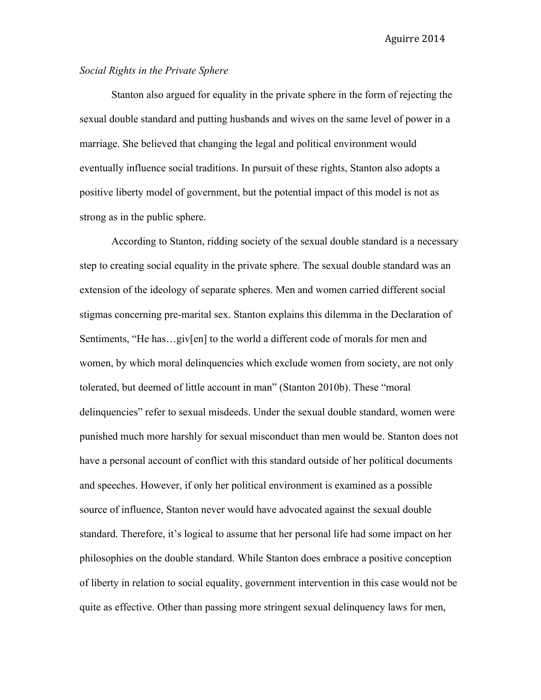# *Social Rights in the Private Sphere*

Stanton also argued for equality in the private sphere in the form of rejecting the sexual double standard and putting husbands and wives on the same level of power in a marriage. She believed that changing the legal and political environment would eventually influence social traditions. In pursuit of these rights, Stanton also adopts a positive liberty model of government, but the potential impact of this model is not as strong as in the public sphere.

According to Stanton, ridding society of the sexual double standard is a necessary step to creating social equality in the private sphere. The sexual double standard was an extension of the ideology of separate spheres. Men and women carried different social stigmas concerning pre-marital sex. Stanton explains this dilemma in the Declaration of Sentiments, "He has...giv[en] to the world a different code of morals for men and women, by which moral delinquencies which exclude women from society, are not only tolerated, but deemed of little account in man" (Stanton 2010b). These "moral delinquencies" refer to sexual misdeeds. Under the sexual double standard, women were punished much more harshly for sexual misconduct than men would be. Stanton does not have a personal account of conflict with this standard outside of her political documents and speeches. However, if only her political environment is examined as a possible source of influence, Stanton never would have advocated against the sexual double standard. Therefore, it's logical to assume that her personal life had some impact on her philosophies on the double standard. While Stanton does embrace a positive conception of liberty in relation to social equality, government intervention in this case would not be quite as effective. Other than passing more stringent sexual delinquency laws for men,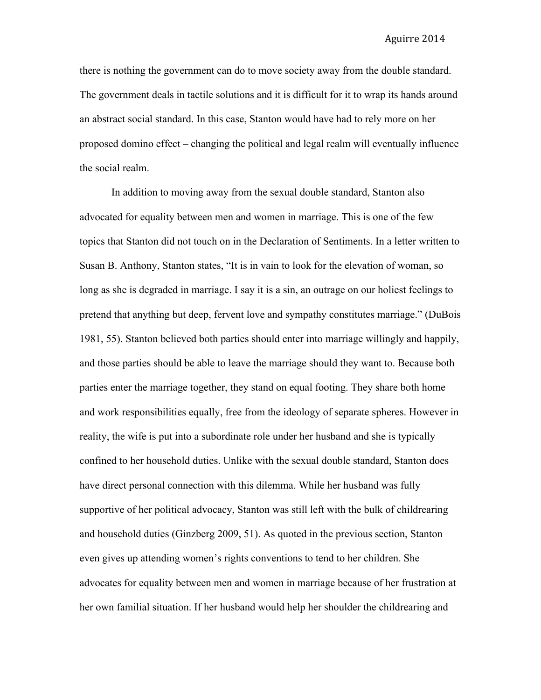there is nothing the government can do to move society away from the double standard. The government deals in tactile solutions and it is difficult for it to wrap its hands around an abstract social standard. In this case, Stanton would have had to rely more on her proposed domino effect – changing the political and legal realm will eventually influence the social realm.

In addition to moving away from the sexual double standard, Stanton also advocated for equality between men and women in marriage. This is one of the few topics that Stanton did not touch on in the Declaration of Sentiments. In a letter written to Susan B. Anthony, Stanton states, "It is in vain to look for the elevation of woman, so long as she is degraded in marriage. I say it is a sin, an outrage on our holiest feelings to pretend that anything but deep, fervent love and sympathy constitutes marriage." (DuBois 1981, 55). Stanton believed both parties should enter into marriage willingly and happily, and those parties should be able to leave the marriage should they want to. Because both parties enter the marriage together, they stand on equal footing. They share both home and work responsibilities equally, free from the ideology of separate spheres. However in reality, the wife is put into a subordinate role under her husband and she is typically confined to her household duties. Unlike with the sexual double standard, Stanton does have direct personal connection with this dilemma. While her husband was fully supportive of her political advocacy, Stanton was still left with the bulk of childrearing and household duties (Ginzberg 2009, 51). As quoted in the previous section, Stanton even gives up attending women's rights conventions to tend to her children. She advocates for equality between men and women in marriage because of her frustration at her own familial situation. If her husband would help her shoulder the childrearing and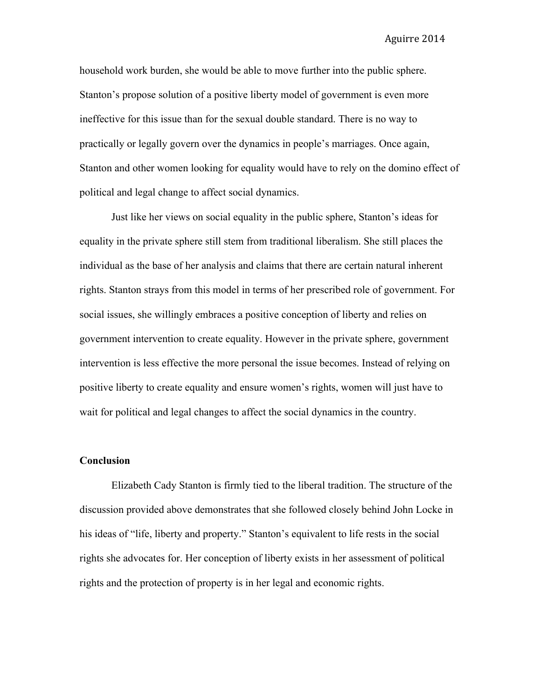household work burden, she would be able to move further into the public sphere. Stanton's propose solution of a positive liberty model of government is even more ineffective for this issue than for the sexual double standard. There is no way to practically or legally govern over the dynamics in people's marriages. Once again, Stanton and other women looking for equality would have to rely on the domino effect of political and legal change to affect social dynamics.

Just like her views on social equality in the public sphere, Stanton's ideas for equality in the private sphere still stem from traditional liberalism. She still places the individual as the base of her analysis and claims that there are certain natural inherent rights. Stanton strays from this model in terms of her prescribed role of government. For social issues, she willingly embraces a positive conception of liberty and relies on government intervention to create equality. However in the private sphere, government intervention is less effective the more personal the issue becomes. Instead of relying on positive liberty to create equality and ensure women's rights, women will just have to wait for political and legal changes to affect the social dynamics in the country.

#### **Conclusion**

Elizabeth Cady Stanton is firmly tied to the liberal tradition. The structure of the discussion provided above demonstrates that she followed closely behind John Locke in his ideas of "life, liberty and property." Stanton's equivalent to life rests in the social rights she advocates for. Her conception of liberty exists in her assessment of political rights and the protection of property is in her legal and economic rights.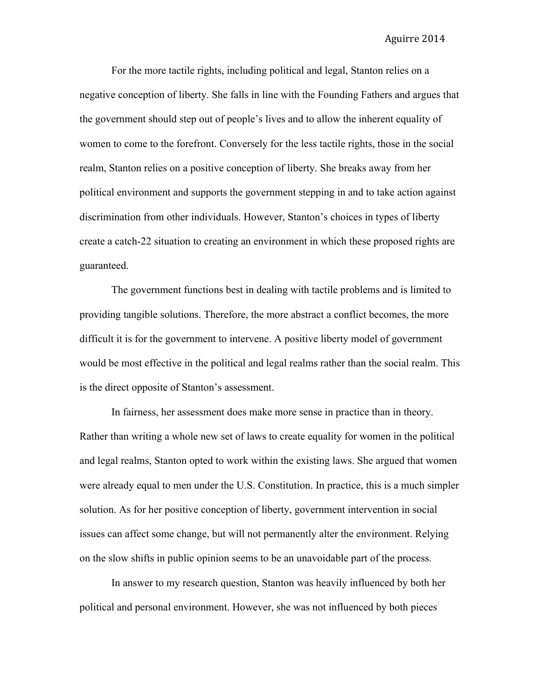For the more tactile rights, including political and legal, Stanton relies on a negative conception of liberty. She falls in line with the Founding Fathers and argues that the government should step out of people's lives and to allow the inherent equality of women to come to the forefront. Conversely for the less tactile rights, those in the social realm, Stanton relies on a positive conception of liberty. She breaks away from her political environment and supports the government stepping in and to take action against discrimination from other individuals. However, Stanton's choices in types of liberty create a catch-22 situation to creating an environment in which these proposed rights are guaranteed.

The government functions best in dealing with tactile problems and is limited to providing tangible solutions. Therefore, the more abstract a conflict becomes, the more difficult it is for the government to intervene. A positive liberty model of government would be most effective in the political and legal realms rather than the social realm. This is the direct opposite of Stanton's assessment.

In fairness, her assessment does make more sense in practice than in theory. Rather than writing a whole new set of laws to create equality for women in the political and legal realms, Stanton opted to work within the existing laws. She argued that women were already equal to men under the U.S. Constitution. In practice, this is a much simpler solution. As for her positive conception of liberty, government intervention in social issues can affect some change, but will not permanently alter the environment. Relying on the slow shifts in public opinion seems to be an unavoidable part of the process.

In answer to my research question, Stanton was heavily influenced by both her political and personal environment. However, she was not influenced by both pieces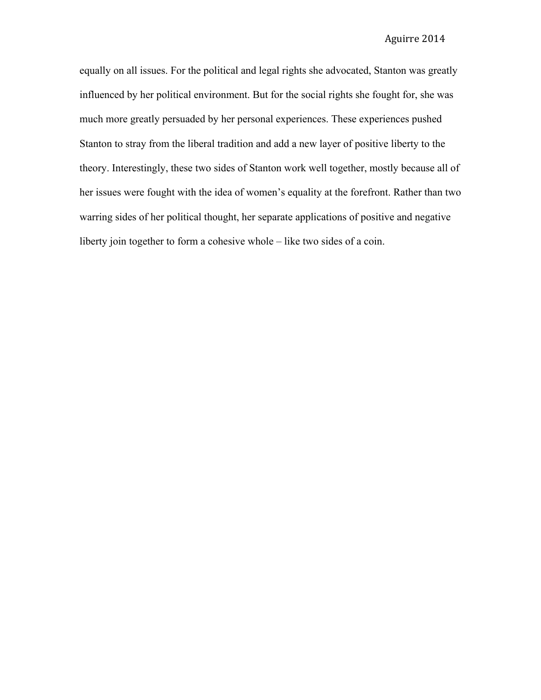equally on all issues. For the political and legal rights she advocated, Stanton was greatly influenced by her political environment. But for the social rights she fought for, she was much more greatly persuaded by her personal experiences. These experiences pushed Stanton to stray from the liberal tradition and add a new layer of positive liberty to the theory. Interestingly, these two sides of Stanton work well together, mostly because all of her issues were fought with the idea of women's equality at the forefront. Rather than two warring sides of her political thought, her separate applications of positive and negative liberty join together to form a cohesive whole – like two sides of a coin.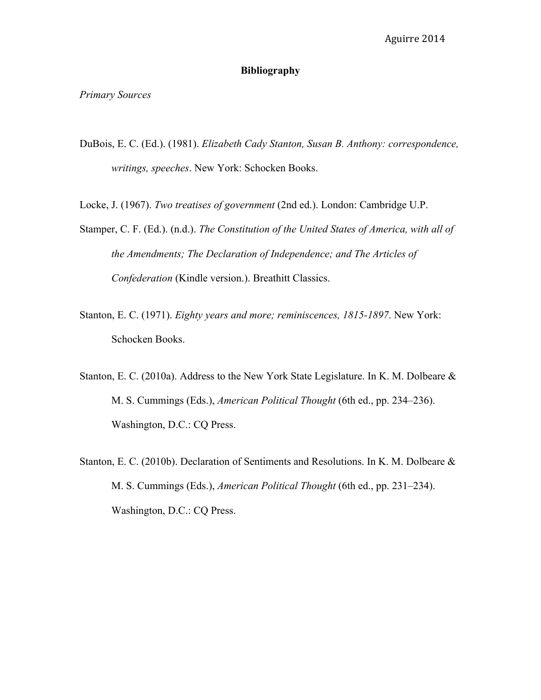# **Bibliography**

*Primary Sources*

DuBois, E. C. (Ed.). (1981). *Elizabeth Cady Stanton, Susan B. Anthony: correspondence, writings, speeches*. New York: Schocken Books.

Locke, J. (1967). *Two treatises of government* (2nd ed.). London: Cambridge U.P.

- Stamper, C. F. (Ed.). (n.d.). *The Constitution of the United States of America, with all of the Amendments; The Declaration of Independence; and The Articles of Confederation* (Kindle version.). Breathitt Classics.
- Stanton, E. C. (1971). *Eighty years and more; reminiscences, 1815-1897*. New York: Schocken Books.
- Stanton, E. C. (2010a). Address to the New York State Legislature. In K. M. Dolbeare & M. S. Cummings (Eds.), *American Political Thought* (6th ed., pp. 234–236). Washington, D.C.: CQ Press.
- Stanton, E. C. (2010b). Declaration of Sentiments and Resolutions. In K. M. Dolbeare & M. S. Cummings (Eds.), *American Political Thought* (6th ed., pp. 231–234). Washington, D.C.: CQ Press.